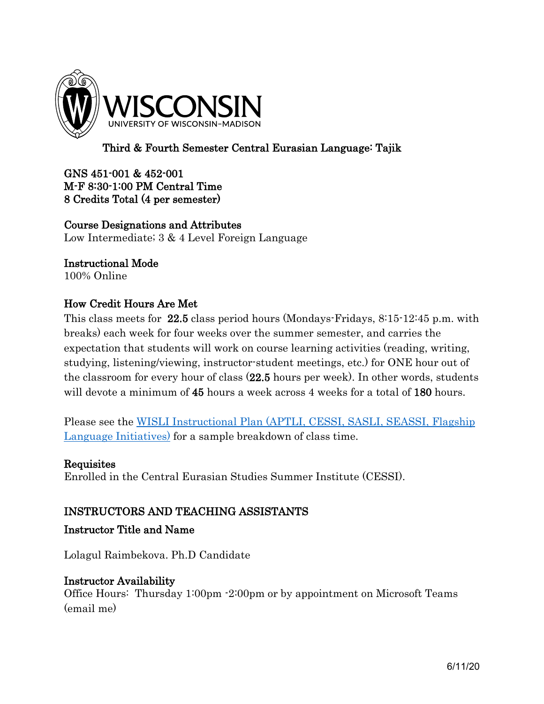

# Third & Fourth Semester Central Eurasian Language: Tajik

### GNS 451-001 & 452-001 M-F 8:30-1:00 PM Central Time 8 Credits Total (4 per semester)

Course Designations and Attributes Low Intermediate; 3 & 4 Level Foreign Language

## Instructional Mode

100% Online

## How Credit Hours Are Met

This class meets for 22.5 class period hours (Mondays-Fridays, 8:15-12:45 p.m. with breaks) each week for four weeks over the summer semester, and carries the expectation that students will work on course learning activities (reading, writing, studying, listening/viewing, instructor-student meetings, etc.) for ONE hour out of the classroom for every hour of class (22.5 hours per week). In other words, students will devote a minimum of 45 hours a week across 4 weeks for a total of 180 hours.

Please see the [WISLI Instructional Plan \(APTLI, CESSI, SASLI, SEASSI, Flagship](https://wisli.wisc.edu/wp-content/uploads/sites/239/2020/05/May_2020_WISLI_RemoteLanguageTraining.doc)  [Language Initiatives\)](https://wisli.wisc.edu/wp-content/uploads/sites/239/2020/05/May_2020_WISLI_RemoteLanguageTraining.doc) for a sample breakdown of class time.

### **Requisites**

Enrolled in the Central Eurasian Studies Summer Institute (CESSI).

### INSTRUCTORS AND TEACHING ASSISTANTS

## Instructor Title and Name

Lolagul Raimbekova. Ph.D Candidate

#### Instructor Availability

Office Hours: Thursday 1:00pm -2:00pm or by appointment on Microsoft Teams (email me)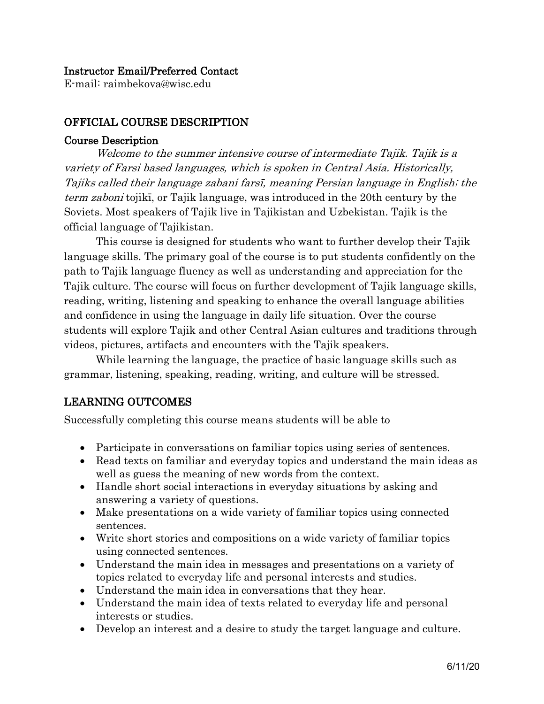#### Instructor Email/Preferred Contact

E-mail: raimbekova@wisc.edu

## OFFICIAL COURSE DESCRIPTION

#### Course Description

Welcome to the summer intensive course of intermediate Tajik. Tajik is a variety of Farsi based languages, which is spoken in Central Asia. Historically, Tajiks called their language zabani farsī, meaning Persian language in English; the term zaboni tojikī, or Tajik language, was introduced in the 20th century by the Soviets. Most speakers of Tajik live in Tajikistan and Uzbekistan. Tajik is the official language of Tajikistan.

This course is designed for students who want to further develop their Tajik language skills. The primary goal of the course is to put students confidently on the path to Tajik language fluency as well as understanding and appreciation for the Tajik culture. The course will focus on further development of Tajik language skills, reading, writing, listening and speaking to enhance the overall language abilities and confidence in using the language in daily life situation. Over the course students will explore Tajik and other Central Asian cultures and traditions through videos, pictures, artifacts and encounters with the Tajik speakers.

While learning the language, the practice of basic language skills such as grammar, listening, speaking, reading, writing, and culture will be stressed.

## LEARNING OUTCOMES

Successfully completing this course means students will be able to

- Participate in conversations on familiar topics using series of sentences.
- Read texts on familiar and everyday topics and understand the main ideas as well as guess the meaning of new words from the context.
- Handle short social interactions in everyday situations by asking and answering a variety of questions.
- Make presentations on a wide variety of familiar topics using connected sentences.
- Write short stories and compositions on a wide variety of familiar topics using connected sentences.
- Understand the main idea in messages and presentations on a variety of topics related to everyday life and personal interests and studies.
- Understand the main idea in conversations that they hear.
- Understand the main idea of texts related to everyday life and personal interests or studies.
- Develop an interest and a desire to study the target language and culture.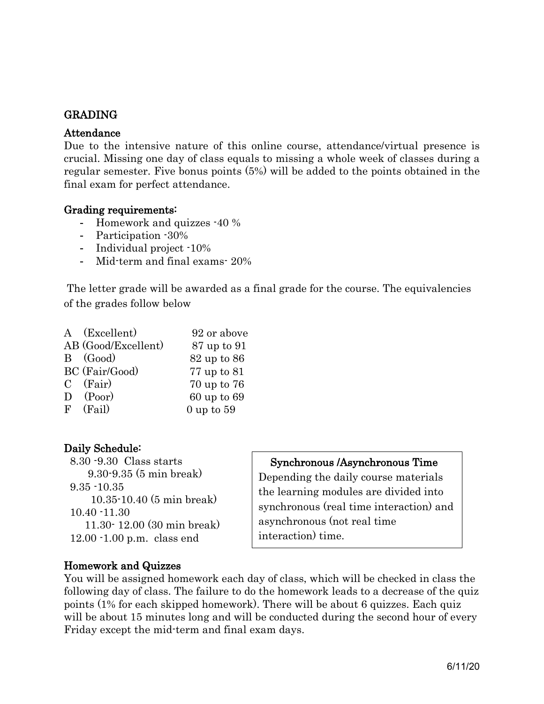## GRADING

#### Attendance

Due to the intensive nature of this online course, attendance/virtual presence is crucial. Missing one day of class equals to missing a whole week of classes during a regular semester. Five bonus points (5%) will be added to the points obtained in the final exam for perfect attendance.

#### Grading requirements:

- Homework and quizzes -40 %
- Participation -30%
- Individual project -10%
- Mid-term and final exams- 20%

The letter grade will be awarded as a final grade for the course. The equivalencies of the grades follow below

| A (Excellent)       | 92 or above    |
|---------------------|----------------|
| AB (Good/Excellent) | 87 up to 91    |
| B (Good)            | 82 up to 86    |
| BC (Fair/Good)      | 77 up to 81    |
| $C$ (Fair)          | 70 up to 76    |
| $D$ (Poor)          | 60 up to 69    |
| $F$ (Fail)          | $0$ up to $59$ |

### Daily Schedule:

 8.30 -9.30 Class starts 9.30-9.35 (5 min break) 9.35 -10.35 10.35-10.40 (5 min break) 10.40 -11.30 11.30- 12.00 (30 min break) 12.00 -1.00 p.m. class end

## Synchronous /Asynchronous Time

Depending the daily course materials the learning modules are divided into synchronous (real time interaction) and asynchronous (not real time interaction) time.

### Homework and Quizzes

You will be assigned homework each day of class, which will be checked in class the following day of class. The failure to do the homework leads to a decrease of the quiz points (1% for each skipped homework). There will be about 6 quizzes. Each quiz will be about 15 minutes long and will be conducted during the second hour of every Friday except the mid-term and final exam days.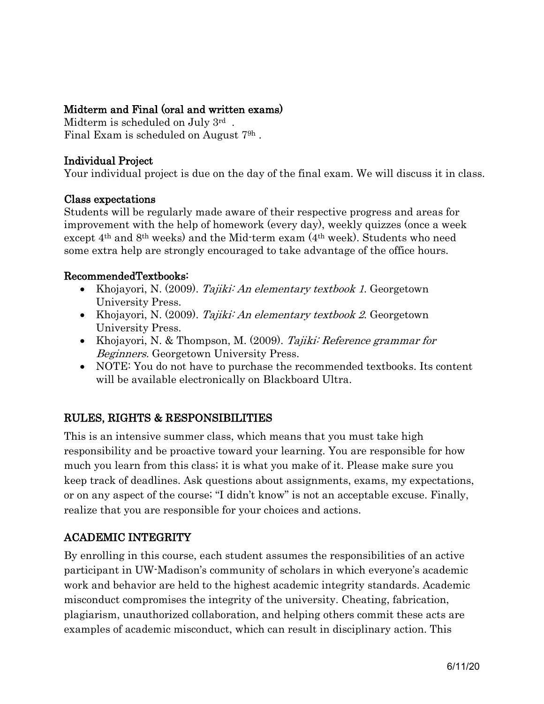## Midterm and Final (oral and written exams)

Midterm is scheduled on July 3rd . Final Exam is scheduled on August 79h .

## Individual Project

Your individual project is due on the day of the final exam. We will discuss it in class.

#### Class expectations

Students will be regularly made aware of their respective progress and areas for improvement with the help of homework (every day), weekly quizzes (once a week except 4th and 8th weeks) and the Mid-term exam (4th week). Students who need some extra help are strongly encouraged to take advantage of the office hours.

### RecommendedTextbooks:

- Khojayori, N. (2009). Tajiki: An elementary textbook 1. Georgetown University Press.
- Khojayori, N. (2009). Tajiki: An elementary textbook 2. Georgetown University Press.
- Khojayori, N. & Thompson, M. (2009). Tajiki: Reference grammar for Beginners. Georgetown University Press.
- NOTE: You do not have to purchase the recommended textbooks. Its content will be available electronically on Blackboard Ultra.

## RULES, RIGHTS & RESPONSIBILITIES

This is an intensive summer class, which means that you must take high responsibility and be proactive toward your learning. You are responsible for how much you learn from this class; it is what you make of it. Please make sure you keep track of deadlines. Ask questions about assignments, exams, my expectations, or on any aspect of the course; "I didn't know" is not an acceptable excuse. Finally, realize that you are responsible for your choices and actions.

## ACADEMIC INTEGRITY

By enrolling in this course, each student assumes the responsibilities of an active participant in UW-Madison's community of scholars in which everyone's academic work and behavior are held to the highest academic integrity standards. Academic misconduct compromises the integrity of the university. Cheating, fabrication, plagiarism, unauthorized collaboration, and helping others commit these acts are examples of academic misconduct, which can result in disciplinary action. This